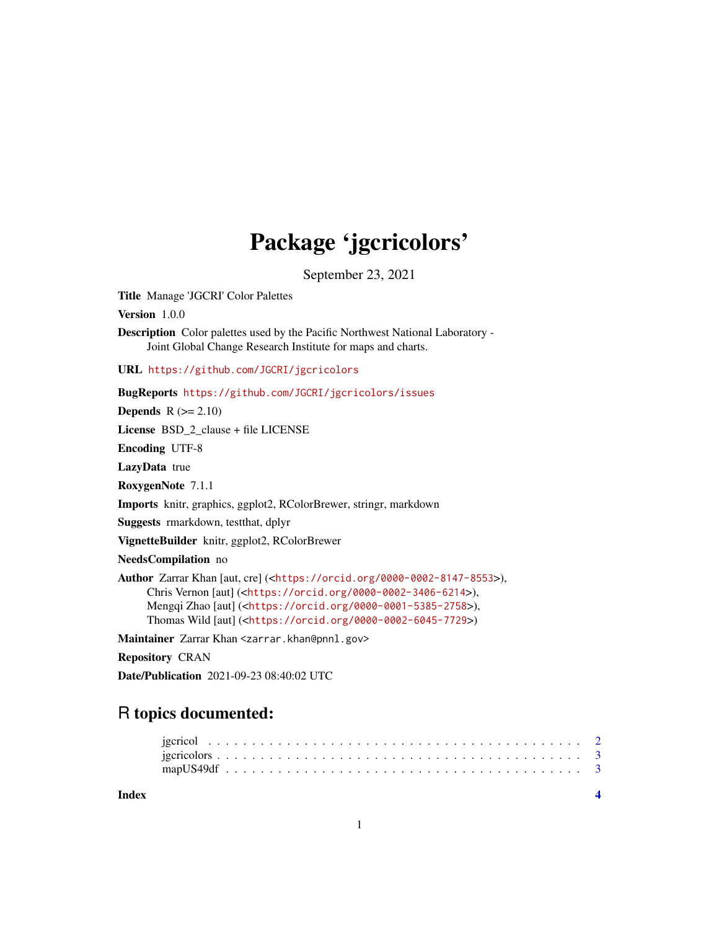## Package 'jgcricolors'

September 23, 2021

Title Manage 'JGCRI' Color Palettes

Version 1.0.0

Description Color palettes used by the Pacific Northwest National Laboratory - Joint Global Change Research Institute for maps and charts.

URL <https://github.com/JGCRI/jgcricolors>

BugReports <https://github.com/JGCRI/jgcricolors/issues>

**Depends**  $R (= 2.10)$ 

License BSD\_2\_clause + file LICENSE

Encoding UTF-8

LazyData true

RoxygenNote 7.1.1

Imports knitr, graphics, ggplot2, RColorBrewer, stringr, markdown

Suggests rmarkdown, testthat, dplyr

VignetteBuilder knitr, ggplot2, RColorBrewer

NeedsCompilation no

```
Author Zarrar Khan [aut, cre] (<https://orcid.org/0000-0002-8147-8553>),
     Chris Vernon [aut] (<https://orcid.org/0000-0002-3406-6214>),
     Mengqi Zhao [aut] (<https://orcid.org/0000-0001-5385-2758>),
     Thomas Wild [aut] (<https://orcid.org/0000-0002-6045-7729>)
```
Maintainer Zarrar Khan <zarrar.khan@pnnl.gov>

Repository CRAN

Date/Publication 2021-09-23 08:40:02 UTC

### R topics documented:

**Index** [4](#page-3-0)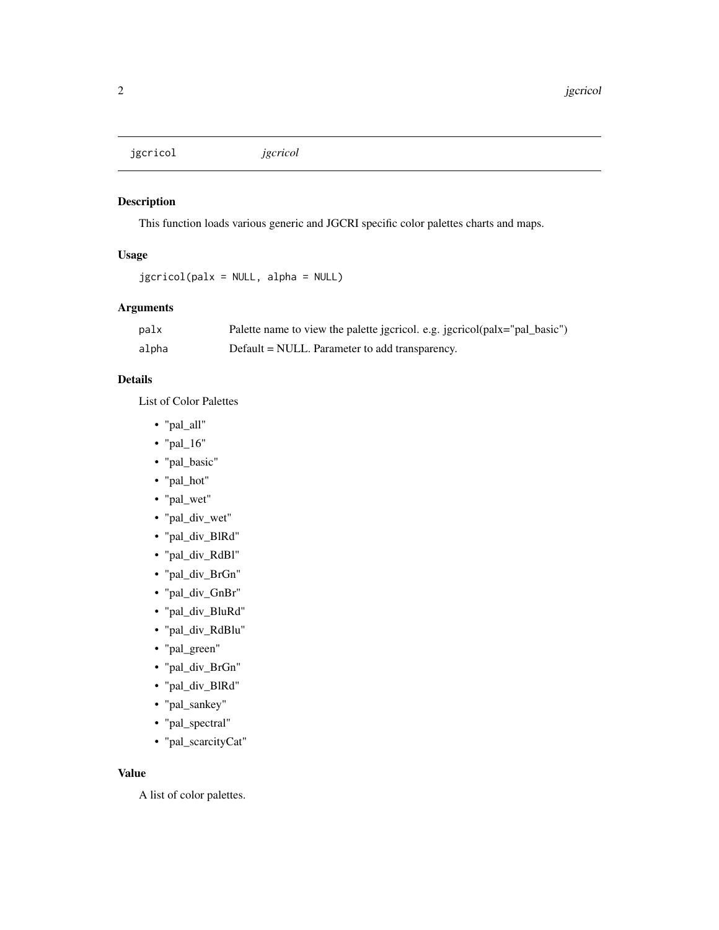<span id="page-1-0"></span>jgcricol *jgcricol*

#### Description

This function loads various generic and JGCRI specific color palettes charts and maps.

#### Usage

```
jgcricol(palx = NULL, alpha = NULL)
```
#### Arguments

| palx  | Palette name to view the palette jgcricol. e.g. jgcricol(palx="pal_basic") |
|-------|----------------------------------------------------------------------------|
| alpha | Default = NULL. Parameter to add transparency.                             |

#### Details

List of Color Palettes

- "pal\_all"
- "pal\_16"
- "pal\_basic"
- "pal\_hot"
- "pal\_wet"
- "pal\_div\_wet"
- "pal\_div\_BlRd"
- "pal\_div\_RdBl"
- "pal\_div\_BrGn"
- "pal\_div\_GnBr"
- "pal\_div\_BluRd"
- "pal\_div\_RdBlu"
- "pal\_green"
- "pal\_div\_BrGn"
- "pal\_div\_BlRd"
- "pal\_sankey"
- "pal\_spectral"
- "pal\_scarcityCat"

#### Value

A list of color palettes.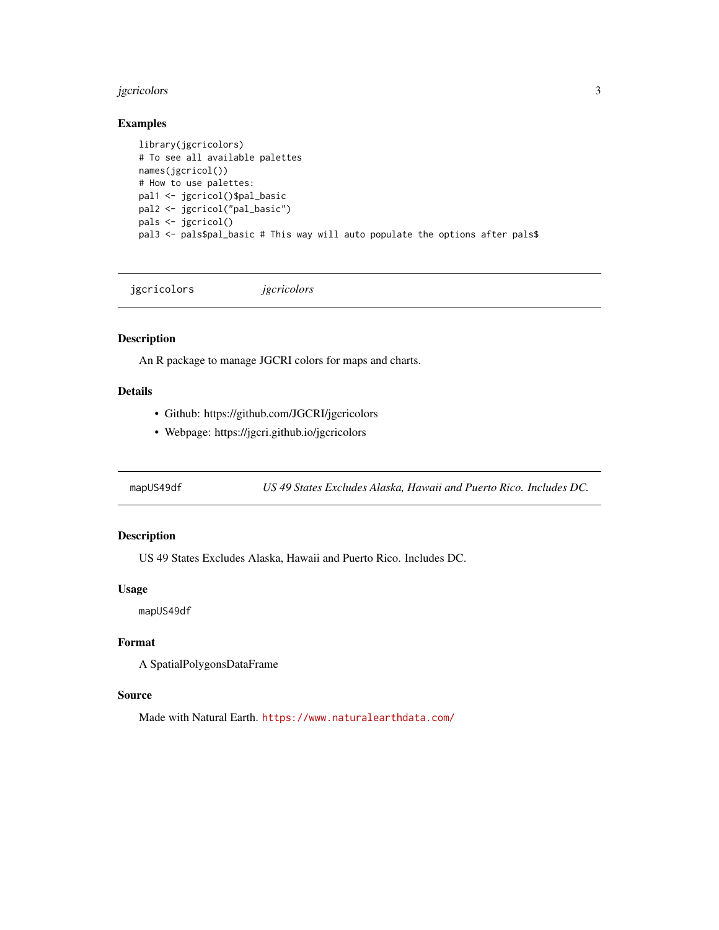#### <span id="page-2-0"></span>jgcricolors 3

#### Examples

```
library(jgcricolors)
# To see all available palettes
names(jgcricol())
# How to use palettes:
pal1 <- jgcricol()$pal_basic
pal2 <- jgcricol("pal_basic")
pals <- jgcricol()
pal3 <- pals$pal_basic # This way will auto populate the options after pals$
```
jgcricolors *jgcricolors*

#### Description

An R package to manage JGCRI colors for maps and charts.

#### Details

- Github: https://github.com/JGCRI/jgcricolors
- Webpage: https://jgcri.github.io/jgcricolors

mapUS49df *US 49 States Excludes Alaska, Hawaii and Puerto Rico. Includes DC.*

#### Description

US 49 States Excludes Alaska, Hawaii and Puerto Rico. Includes DC.

#### Usage

mapUS49df

#### Format

A SpatialPolygonsDataFrame

#### Source

Made with Natural Earth. <https://www.naturalearthdata.com/>